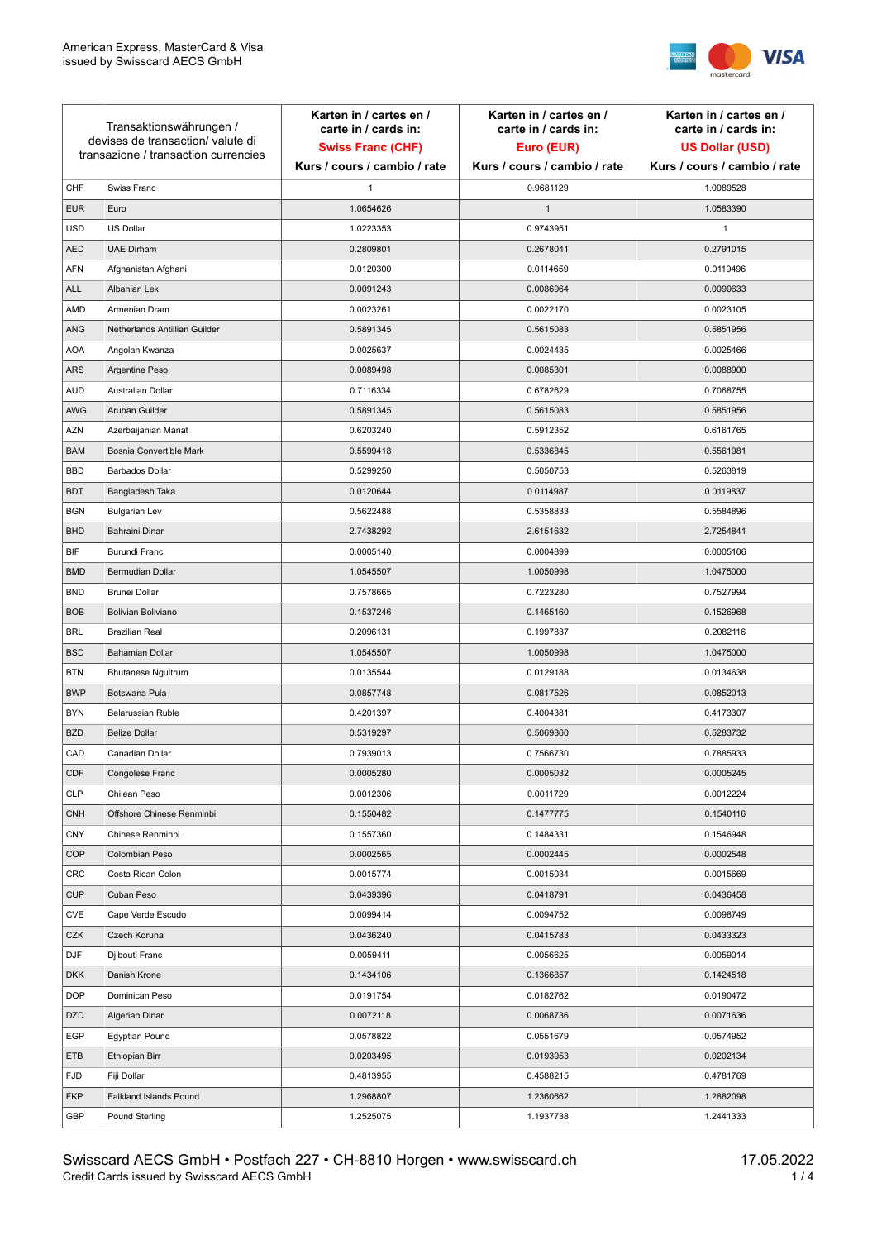

| Transaktionswährungen /<br>devises de transaction/valute di<br>transazione / transaction currencies |                               | Karten in / cartes en /<br>carte in / cards in:<br><b>Swiss Franc (CHF)</b> | Karten in / cartes en /<br>carte in / cards in:<br>Euro (EUR) | Karten in / cartes en /<br>carte in / cards in:<br><b>US Dollar (USD)</b> |
|-----------------------------------------------------------------------------------------------------|-------------------------------|-----------------------------------------------------------------------------|---------------------------------------------------------------|---------------------------------------------------------------------------|
|                                                                                                     |                               | Kurs / cours / cambio / rate                                                | Kurs / cours / cambio / rate                                  | Kurs / cours / cambio / rate                                              |
| CHF                                                                                                 | Swiss Franc                   | 1                                                                           | 0.9681129                                                     | 1.0089528                                                                 |
| <b>EUR</b>                                                                                          | Euro                          | 1.0654626                                                                   | $\mathbf{1}$                                                  | 1.0583390                                                                 |
| <b>USD</b>                                                                                          | US Dollar                     | 1.0223353                                                                   | 0.9743951                                                     | $\mathbf{1}$                                                              |
| <b>AED</b>                                                                                          | <b>UAE Dirham</b>             | 0.2809801                                                                   | 0.2678041                                                     | 0.2791015                                                                 |
| <b>AFN</b>                                                                                          | Afghanistan Afghani           | 0.0120300                                                                   | 0.0114659                                                     | 0.0119496                                                                 |
| <b>ALL</b>                                                                                          | Albanian Lek                  | 0.0091243                                                                   | 0.0086964                                                     | 0.0090633                                                                 |
| AMD                                                                                                 | Armenian Dram                 | 0.0023261                                                                   | 0.0022170                                                     | 0.0023105                                                                 |
| ANG                                                                                                 | Netherlands Antillian Guilder | 0.5891345                                                                   | 0.5615083                                                     | 0.5851956                                                                 |
| <b>AOA</b>                                                                                          | Angolan Kwanza                | 0.0025637                                                                   | 0.0024435                                                     | 0.0025466                                                                 |
| ARS                                                                                                 | Argentine Peso                | 0.0089498                                                                   | 0.0085301                                                     | 0.0088900                                                                 |
| <b>AUD</b>                                                                                          | Australian Dollar             | 0.7116334                                                                   | 0.6782629                                                     | 0.7068755                                                                 |
| AWG                                                                                                 | Aruban Guilder                | 0.5891345                                                                   | 0.5615083                                                     | 0.5851956                                                                 |
| AZN                                                                                                 | Azerbaijanian Manat           | 0.6203240                                                                   | 0.5912352                                                     | 0.6161765                                                                 |
| <b>BAM</b>                                                                                          | Bosnia Convertible Mark       | 0.5599418                                                                   | 0.5336845                                                     | 0.5561981                                                                 |
| <b>BBD</b>                                                                                          | <b>Barbados Dollar</b>        | 0.5299250                                                                   | 0.5050753                                                     | 0.5263819                                                                 |
| <b>BDT</b>                                                                                          | Bangladesh Taka               | 0.0120644                                                                   | 0.0114987                                                     | 0.0119837                                                                 |
| <b>BGN</b>                                                                                          | <b>Bulgarian Lev</b>          | 0.5622488                                                                   | 0.5358833                                                     | 0.5584896                                                                 |
| <b>BHD</b>                                                                                          | Bahraini Dinar                | 2.7438292                                                                   | 2.6151632                                                     | 2.7254841                                                                 |
| BIF                                                                                                 | Burundi Franc                 | 0.0005140                                                                   | 0.0004899                                                     | 0.0005106                                                                 |
| <b>BMD</b>                                                                                          | Bermudian Dollar              | 1.0545507                                                                   | 1.0050998                                                     | 1.0475000                                                                 |
| <b>BND</b>                                                                                          | <b>Brunei Dollar</b>          | 0.7578665                                                                   | 0.7223280                                                     | 0.7527994                                                                 |
| <b>BOB</b>                                                                                          | Bolivian Boliviano            | 0.1537246                                                                   | 0.1465160                                                     | 0.1526968                                                                 |
| <b>BRL</b>                                                                                          | <b>Brazilian Real</b>         | 0.2096131                                                                   | 0.1997837                                                     | 0.2082116                                                                 |
| <b>BSD</b>                                                                                          | <b>Bahamian Dollar</b>        | 1.0545507                                                                   | 1.0050998                                                     | 1.0475000                                                                 |
| <b>BTN</b>                                                                                          | <b>Bhutanese Ngultrum</b>     | 0.0135544                                                                   | 0.0129188                                                     | 0.0134638                                                                 |
| <b>BWP</b>                                                                                          | Botswana Pula                 | 0.0857748                                                                   | 0.0817526                                                     | 0.0852013                                                                 |
| <b>BYN</b>                                                                                          | Belarussian Ruble             | 0.4201397                                                                   | 0.4004381                                                     | 0.4173307                                                                 |
| <b>BZD</b>                                                                                          | <b>Belize Dollar</b>          | 0.5319297                                                                   | 0.5069860                                                     | 0.5283732                                                                 |
| CAD                                                                                                 | Canadian Dollar               | 0.7939013                                                                   | 0.7566730                                                     | 0.7885933                                                                 |
| CDF                                                                                                 | Congolese Franc               | 0.0005280                                                                   | 0.0005032                                                     | 0.0005245                                                                 |
| <b>CLP</b>                                                                                          | Chilean Peso                  | 0.0012306                                                                   | 0.0011729                                                     | 0.0012224                                                                 |
| <b>CNH</b>                                                                                          | Offshore Chinese Renminbi     | 0.1550482                                                                   | 0.1477775                                                     | 0.1540116                                                                 |
| <b>CNY</b>                                                                                          | Chinese Renminbi              | 0.1557360                                                                   | 0.1484331                                                     | 0.1546948                                                                 |
| <b>COP</b>                                                                                          | Colombian Peso                | 0.0002565                                                                   | 0.0002445                                                     | 0.0002548                                                                 |
| CRC                                                                                                 | Costa Rican Colon             | 0.0015774                                                                   | 0.0015034                                                     | 0.0015669                                                                 |
| <b>CUP</b>                                                                                          | Cuban Peso                    | 0.0439396                                                                   | 0.0418791                                                     | 0.0436458                                                                 |
| CVE                                                                                                 | Cape Verde Escudo             | 0.0099414                                                                   | 0.0094752                                                     | 0.0098749                                                                 |
| CZK                                                                                                 | Czech Koruna                  | 0.0436240                                                                   | 0.0415783                                                     | 0.0433323                                                                 |
| <b>DJF</b>                                                                                          | Djibouti Franc                | 0.0059411                                                                   | 0.0056625                                                     | 0.0059014                                                                 |
| <b>DKK</b>                                                                                          | Danish Krone                  | 0.1434106                                                                   | 0.1366857                                                     | 0.1424518                                                                 |
| <b>DOP</b>                                                                                          | Dominican Peso                | 0.0191754                                                                   | 0.0182762                                                     | 0.0190472                                                                 |
| <b>DZD</b>                                                                                          | Algerian Dinar                | 0.0072118                                                                   | 0.0068736                                                     | 0.0071636                                                                 |
| EGP                                                                                                 | Egyptian Pound                | 0.0578822                                                                   | 0.0551679                                                     | 0.0574952                                                                 |
| ETB                                                                                                 | Ethiopian Birr                | 0.0203495                                                                   | 0.0193953                                                     | 0.0202134                                                                 |
| <b>FJD</b>                                                                                          | Fiji Dollar                   | 0.4813955                                                                   | 0.4588215                                                     | 0.4781769                                                                 |
| <b>FKP</b>                                                                                          | Falkland Islands Pound        | 1.2968807                                                                   | 1.2360662                                                     | 1.2882098                                                                 |
| GBP                                                                                                 | Pound Sterling                | 1.2525075                                                                   | 1.1937738                                                     | 1.2441333                                                                 |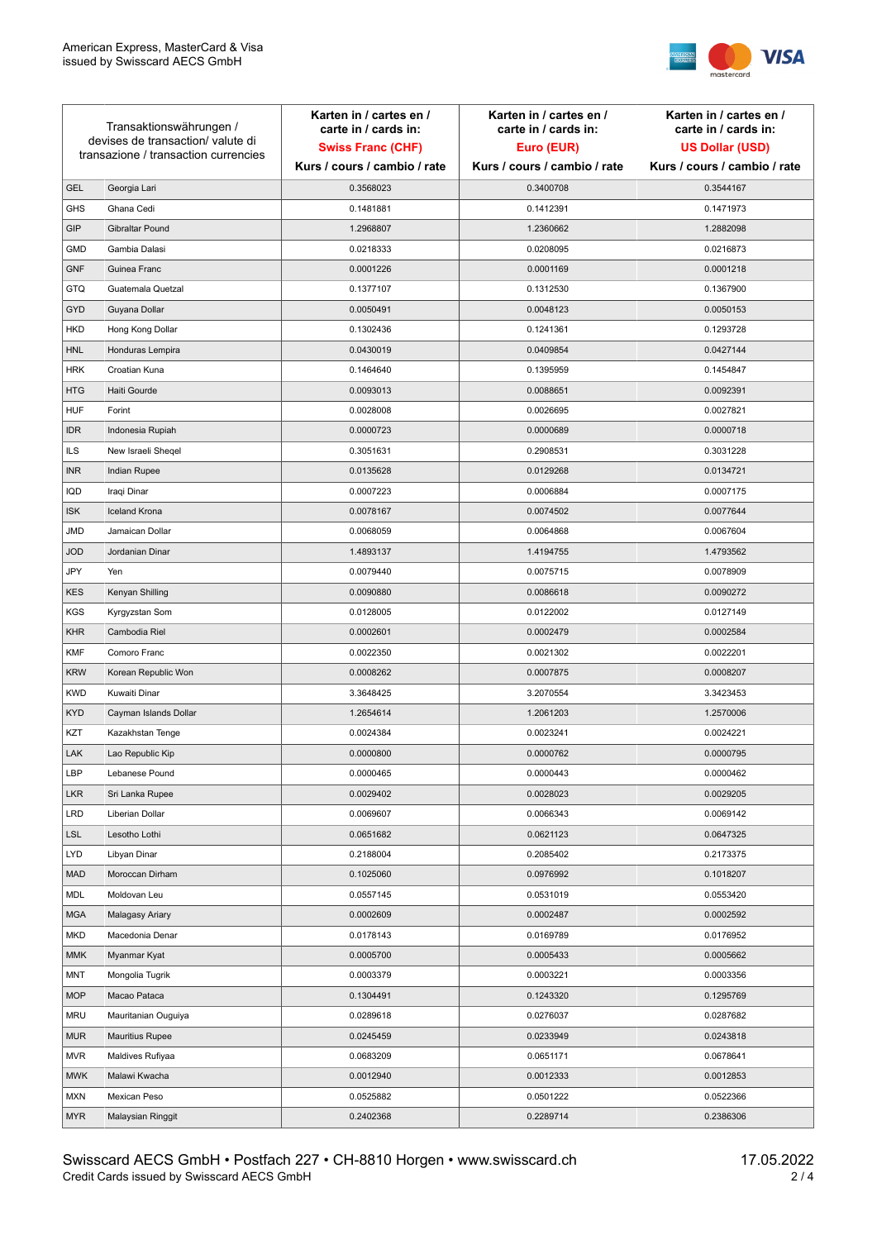

| Transaktionswährungen /<br>devises de transaction/ valute di |                                      | Karten in / cartes en /<br>carte in / cards in: | Karten in / cartes en /<br>carte in / cards in: | Karten in / cartes en /<br>carte in / cards in: |
|--------------------------------------------------------------|--------------------------------------|-------------------------------------------------|-------------------------------------------------|-------------------------------------------------|
|                                                              |                                      | <b>Swiss Franc (CHF)</b>                        | Euro (EUR)                                      | <b>US Dollar (USD)</b>                          |
|                                                              | transazione / transaction currencies | Kurs / cours / cambio / rate                    | Kurs / cours / cambio / rate                    | Kurs / cours / cambio / rate                    |
| <b>GEL</b>                                                   | Georgia Lari                         | 0.3568023                                       | 0.3400708                                       | 0.3544167                                       |
| <b>GHS</b>                                                   | Ghana Cedi                           | 0.1481881                                       | 0.1412391                                       | 0.1471973                                       |
| GIP                                                          | Gibraltar Pound                      | 1.2968807                                       | 1.2360662                                       | 1.2882098                                       |
| <b>GMD</b>                                                   | Gambia Dalasi                        | 0.0218333                                       | 0.0208095                                       | 0.0216873                                       |
| <b>GNF</b>                                                   | Guinea Franc                         | 0.0001226                                       | 0.0001169                                       | 0.0001218                                       |
| GTQ                                                          | Guatemala Quetzal                    | 0.1377107                                       | 0.1312530                                       | 0.1367900                                       |
| <b>GYD</b>                                                   | Guyana Dollar                        | 0.0050491                                       | 0.0048123                                       | 0.0050153                                       |
| <b>HKD</b>                                                   | Hong Kong Dollar                     | 0.1302436                                       | 0.1241361                                       | 0.1293728                                       |
| <b>HNL</b>                                                   | Honduras Lempira                     | 0.0430019                                       | 0.0409854                                       | 0.0427144                                       |
| <b>HRK</b>                                                   | Croatian Kuna                        | 0.1464640                                       | 0.1395959                                       | 0.1454847                                       |
| <b>HTG</b>                                                   | Haiti Gourde                         | 0.0093013                                       | 0.0088651                                       | 0.0092391                                       |
| <b>HUF</b>                                                   | Forint                               | 0.0028008                                       | 0.0026695                                       | 0.0027821                                       |
| <b>IDR</b>                                                   | Indonesia Rupiah                     | 0.0000723                                       | 0.0000689                                       | 0.0000718                                       |
| <b>ILS</b>                                                   | New Israeli Sheqel                   | 0.3051631                                       | 0.2908531                                       | 0.3031228                                       |
| <b>INR</b>                                                   | Indian Rupee                         | 0.0135628                                       | 0.0129268                                       | 0.0134721                                       |
| IQD                                                          | Iraqi Dinar                          | 0.0007223                                       | 0.0006884                                       | 0.0007175                                       |
| <b>ISK</b>                                                   | <b>Iceland Krona</b>                 | 0.0078167                                       | 0.0074502                                       | 0.0077644                                       |
| JMD                                                          | Jamaican Dollar                      | 0.0068059                                       | 0.0064868                                       | 0.0067604                                       |
| <b>JOD</b>                                                   | Jordanian Dinar                      | 1.4893137                                       | 1.4194755                                       | 1.4793562                                       |
| JPY                                                          | Yen                                  | 0.0079440                                       | 0.0075715                                       | 0.0078909                                       |
| KES                                                          | Kenyan Shilling                      | 0.0090880                                       | 0.0086618                                       | 0.0090272                                       |
| <b>KGS</b>                                                   | Kyrgyzstan Som                       | 0.0128005                                       | 0.0122002                                       | 0.0127149                                       |
| <b>KHR</b>                                                   | Cambodia Riel                        | 0.0002601                                       | 0.0002479                                       | 0.0002584                                       |
| <b>KMF</b>                                                   | Comoro Franc                         | 0.0022350                                       | 0.0021302                                       | 0.0022201                                       |
| <b>KRW</b>                                                   | Korean Republic Won                  | 0.0008262                                       | 0.0007875                                       | 0.0008207                                       |
| <b>KWD</b>                                                   | Kuwaiti Dinar                        | 3.3648425                                       | 3.2070554                                       | 3.3423453                                       |
| <b>KYD</b>                                                   | Cayman Islands Dollar                | 1.2654614                                       | 1.2061203                                       | 1.2570006                                       |
| KZT                                                          | Kazakhstan Tenge                     | 0.0024384                                       | 0.0023241                                       | 0.0024221                                       |
| LAK                                                          | Lao Republic Kip                     | 0.0000800                                       | 0.0000762                                       | 0.0000795                                       |
| LBP                                                          | Lebanese Pound                       | 0.0000465                                       | 0.0000443                                       | 0.0000462                                       |
| <b>LKR</b>                                                   | Sri Lanka Rupee                      | 0.0029402                                       | 0.0028023                                       | 0.0029205                                       |
| <b>LRD</b>                                                   | Liberian Dollar                      | 0.0069607                                       | 0.0066343                                       | 0.0069142                                       |
| <b>LSL</b>                                                   | Lesotho Lothi                        | 0.0651682                                       | 0.0621123                                       | 0.0647325                                       |
| LYD                                                          | Libyan Dinar                         | 0.2188004                                       | 0.2085402                                       | 0.2173375                                       |
| <b>MAD</b>                                                   | Moroccan Dirham                      | 0.1025060                                       | 0.0976992                                       | 0.1018207                                       |
| MDL                                                          | Moldovan Leu                         | 0.0557145                                       | 0.0531019                                       | 0.0553420                                       |
| <b>MGA</b>                                                   | Malagasy Ariary                      | 0.0002609                                       | 0.0002487                                       | 0.0002592                                       |
| <b>MKD</b>                                                   | Macedonia Denar                      | 0.0178143                                       | 0.0169789                                       | 0.0176952                                       |
| MMK                                                          | Myanmar Kyat                         | 0.0005700                                       | 0.0005433                                       | 0.0005662                                       |
| MNT                                                          | Mongolia Tugrik                      | 0.0003379                                       | 0.0003221                                       | 0.0003356                                       |
| <b>MOP</b>                                                   | Macao Pataca                         | 0.1304491                                       | 0.1243320                                       | 0.1295769                                       |
| <b>MRU</b>                                                   | Mauritanian Ouguiya                  | 0.0289618                                       | 0.0276037                                       | 0.0287682                                       |
| MUR                                                          | <b>Mauritius Rupee</b>               | 0.0245459                                       | 0.0233949                                       | 0.0243818                                       |
| <b>MVR</b>                                                   | Maldives Rufiyaa                     | 0.0683209                                       | 0.0651171                                       | 0.0678641                                       |
| <b>MWK</b>                                                   | Malawi Kwacha                        | 0.0012940                                       | 0.0012333                                       | 0.0012853                                       |
| <b>MXN</b>                                                   | Mexican Peso                         | 0.0525882                                       | 0.0501222                                       | 0.0522366                                       |
| <b>MYR</b>                                                   | Malaysian Ringgit                    | 0.2402368                                       | 0.2289714                                       | 0.2386306                                       |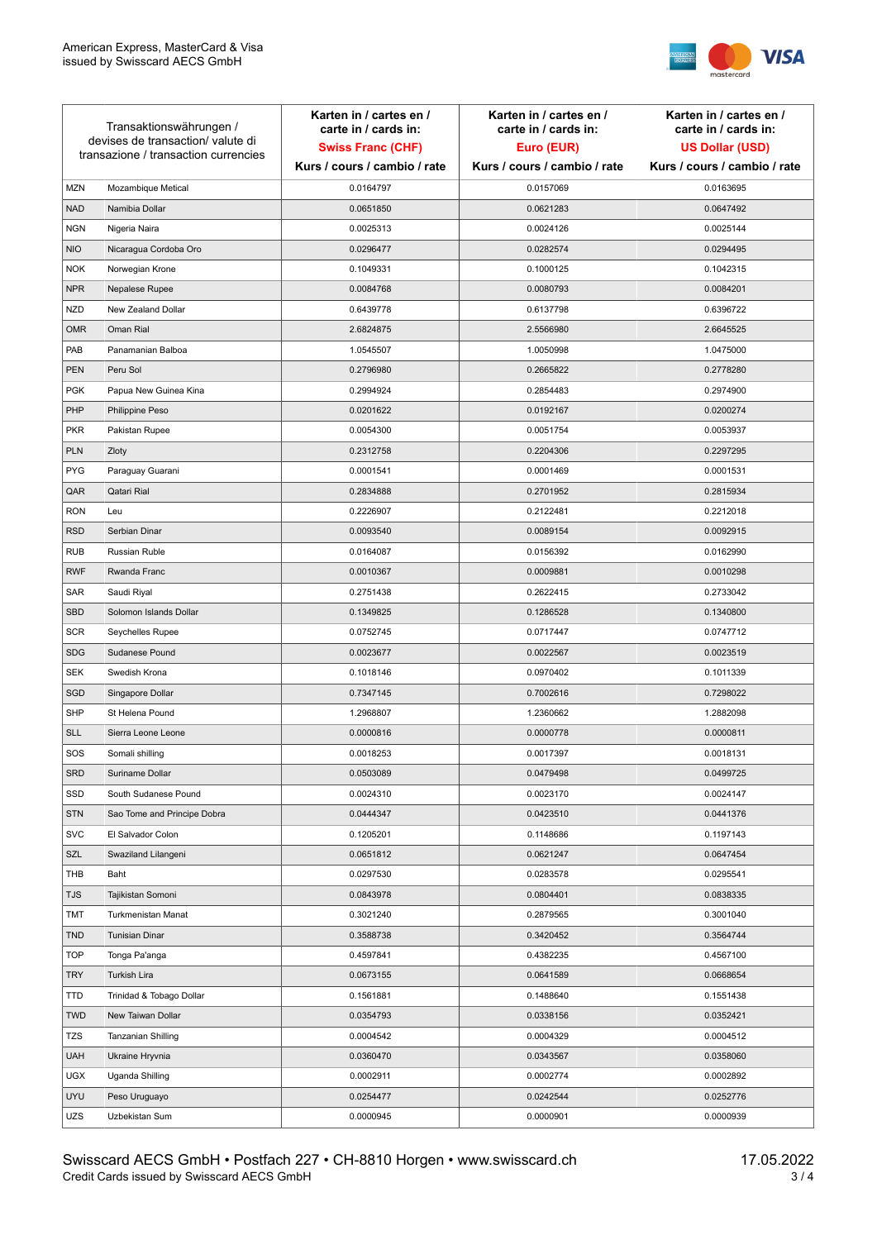

| Transaktionswährungen /<br>devises de transaction/valute di<br>transazione / transaction currencies |                             | Karten in / cartes en /<br>carte in / cards in:<br><b>Swiss Franc (CHF)</b><br>Kurs / cours / cambio / rate | Karten in / cartes en /<br>carte in / cards in:<br>Euro (EUR)<br>Kurs / cours / cambio / rate | Karten in / cartes en /<br>carte in / cards in:<br><b>US Dollar (USD)</b><br>Kurs / cours / cambio / rate |
|-----------------------------------------------------------------------------------------------------|-----------------------------|-------------------------------------------------------------------------------------------------------------|-----------------------------------------------------------------------------------------------|-----------------------------------------------------------------------------------------------------------|
|                                                                                                     |                             |                                                                                                             |                                                                                               |                                                                                                           |
| <b>MZN</b>                                                                                          | Mozambique Metical          | 0.0164797                                                                                                   | 0.0157069                                                                                     | 0.0163695                                                                                                 |
| <b>NAD</b>                                                                                          | Namibia Dollar              | 0.0651850                                                                                                   | 0.0621283                                                                                     | 0.0647492                                                                                                 |
| <b>NGN</b>                                                                                          | Nigeria Naira               | 0.0025313                                                                                                   | 0.0024126                                                                                     | 0.0025144                                                                                                 |
| <b>NIO</b>                                                                                          | Nicaragua Cordoba Oro       | 0.0296477                                                                                                   | 0.0282574                                                                                     | 0.0294495                                                                                                 |
| <b>NOK</b>                                                                                          | Norwegian Krone             | 0.1049331                                                                                                   | 0.1000125                                                                                     | 0.1042315                                                                                                 |
| <b>NPR</b>                                                                                          | Nepalese Rupee              | 0.0084768                                                                                                   | 0.0080793                                                                                     | 0.0084201                                                                                                 |
| <b>NZD</b>                                                                                          | New Zealand Dollar          | 0.6439778                                                                                                   | 0.6137798                                                                                     | 0.6396722                                                                                                 |
| <b>OMR</b>                                                                                          | Oman Rial                   | 2.6824875                                                                                                   | 2.5566980                                                                                     | 2.6645525                                                                                                 |
| PAB                                                                                                 | Panamanian Balboa           | 1.0545507                                                                                                   | 1.0050998                                                                                     | 1.0475000                                                                                                 |
| <b>PEN</b>                                                                                          | Peru Sol                    | 0.2796980                                                                                                   | 0.2665822                                                                                     | 0.2778280                                                                                                 |
| <b>PGK</b>                                                                                          | Papua New Guinea Kina       | 0.2994924                                                                                                   | 0.2854483                                                                                     | 0.2974900                                                                                                 |
| PHP                                                                                                 | Philippine Peso             | 0.0201622                                                                                                   | 0.0192167                                                                                     | 0.0200274                                                                                                 |
| <b>PKR</b>                                                                                          | Pakistan Rupee              | 0.0054300                                                                                                   | 0.0051754                                                                                     | 0.0053937                                                                                                 |
| <b>PLN</b>                                                                                          | Zloty                       | 0.2312758                                                                                                   | 0.2204306                                                                                     | 0.2297295                                                                                                 |
| <b>PYG</b>                                                                                          | Paraguay Guarani            | 0.0001541                                                                                                   | 0.0001469                                                                                     | 0.0001531                                                                                                 |
| QAR                                                                                                 | Qatari Rial                 | 0.2834888                                                                                                   | 0.2701952                                                                                     | 0.2815934                                                                                                 |
| <b>RON</b>                                                                                          | Leu                         | 0.2226907                                                                                                   | 0.2122481                                                                                     | 0.2212018                                                                                                 |
| <b>RSD</b>                                                                                          | Serbian Dinar               | 0.0093540                                                                                                   | 0.0089154                                                                                     | 0.0092915                                                                                                 |
| <b>RUB</b>                                                                                          | Russian Ruble               | 0.0164087                                                                                                   | 0.0156392                                                                                     | 0.0162990                                                                                                 |
| <b>RWF</b>                                                                                          | Rwanda Franc                | 0.0010367                                                                                                   | 0.0009881                                                                                     | 0.0010298                                                                                                 |
| SAR                                                                                                 | Saudi Riyal                 | 0.2751438                                                                                                   | 0.2622415                                                                                     | 0.2733042                                                                                                 |
| <b>SBD</b>                                                                                          | Solomon Islands Dollar      | 0.1349825                                                                                                   | 0.1286528                                                                                     | 0.1340800                                                                                                 |
| <b>SCR</b>                                                                                          | Seychelles Rupee            | 0.0752745                                                                                                   | 0.0717447                                                                                     | 0.0747712                                                                                                 |
| <b>SDG</b>                                                                                          | Sudanese Pound              | 0.0023677                                                                                                   | 0.0022567                                                                                     | 0.0023519                                                                                                 |
| <b>SEK</b>                                                                                          | Swedish Krona               | 0.1018146                                                                                                   | 0.0970402                                                                                     | 0.1011339                                                                                                 |
| SGD                                                                                                 | Singapore Dollar            | 0.7347145                                                                                                   | 0.7002616                                                                                     | 0.7298022                                                                                                 |
| <b>SHP</b>                                                                                          | St Helena Pound             | 1.2968807                                                                                                   | 1.2360662                                                                                     | 1.2882098                                                                                                 |
| <b>SLL</b>                                                                                          | Sierra Leone Leone          | 0.0000816                                                                                                   | 0.0000778                                                                                     | 0.0000811                                                                                                 |
| SOS                                                                                                 | Somali shilling             | 0.0018253                                                                                                   | 0.0017397                                                                                     | 0.0018131                                                                                                 |
| SRD                                                                                                 | Suriname Dollar             | 0.0503089                                                                                                   | 0.0479498                                                                                     | 0.0499725                                                                                                 |
| SSD                                                                                                 | South Sudanese Pound        | 0.0024310                                                                                                   | 0.0023170                                                                                     | 0.0024147                                                                                                 |
| <b>STN</b>                                                                                          | Sao Tome and Principe Dobra | 0.0444347                                                                                                   | 0.0423510                                                                                     | 0.0441376                                                                                                 |
| <b>SVC</b>                                                                                          | El Salvador Colon           | 0.1205201                                                                                                   | 0.1148686                                                                                     | 0.1197143                                                                                                 |
| SZL                                                                                                 | Swaziland Lilangeni         | 0.0651812                                                                                                   | 0.0621247                                                                                     | 0.0647454                                                                                                 |
| THB                                                                                                 | Baht                        | 0.0297530                                                                                                   | 0.0283578                                                                                     | 0.0295541                                                                                                 |
| <b>TJS</b>                                                                                          | Tajikistan Somoni           | 0.0843978                                                                                                   | 0.0804401                                                                                     | 0.0838335                                                                                                 |
| <b>TMT</b>                                                                                          | Turkmenistan Manat          | 0.3021240                                                                                                   | 0.2879565                                                                                     | 0.3001040                                                                                                 |
| <b>TND</b>                                                                                          | <b>Tunisian Dinar</b>       | 0.3588738                                                                                                   | 0.3420452                                                                                     | 0.3564744                                                                                                 |
| <b>TOP</b>                                                                                          | Tonga Pa'anga               | 0.4597841                                                                                                   | 0.4382235                                                                                     | 0.4567100                                                                                                 |
| <b>TRY</b>                                                                                          | Turkish Lira                | 0.0673155                                                                                                   | 0.0641589                                                                                     | 0.0668654                                                                                                 |
| TTD                                                                                                 | Trinidad & Tobago Dollar    | 0.1561881                                                                                                   | 0.1488640                                                                                     | 0.1551438                                                                                                 |
| <b>TWD</b>                                                                                          | New Taiwan Dollar           | 0.0354793                                                                                                   | 0.0338156                                                                                     | 0.0352421                                                                                                 |
| <b>TZS</b>                                                                                          | Tanzanian Shilling          | 0.0004542                                                                                                   | 0.0004329                                                                                     | 0.0004512                                                                                                 |
| <b>UAH</b>                                                                                          | Ukraine Hryvnia             | 0.0360470                                                                                                   | 0.0343567                                                                                     | 0.0358060                                                                                                 |
| <b>UGX</b>                                                                                          | Uganda Shilling             | 0.0002911                                                                                                   | 0.0002774                                                                                     | 0.0002892                                                                                                 |
| <b>UYU</b>                                                                                          | Peso Uruguayo               | 0.0254477                                                                                                   | 0.0242544                                                                                     | 0.0252776                                                                                                 |
| UZS                                                                                                 | Uzbekistan Sum              | 0.0000945                                                                                                   | 0.0000901                                                                                     | 0.0000939                                                                                                 |